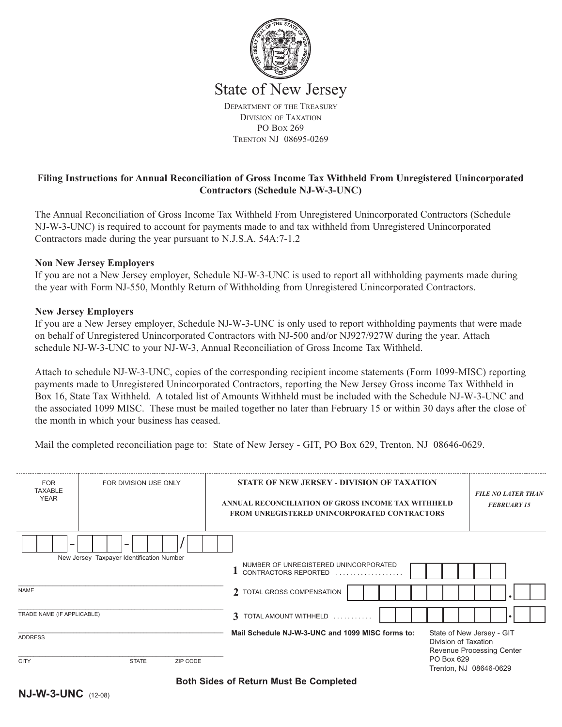

PO BOX 269 TRENTON NJ 08695-0269

# **Filing Instructions for Annual Reconciliation of Gross Income Tax Withheld From Unregistered Unincorporated Contractors (Schedule NJ-W-3-UNC)**

The Annual Reconciliation of Gross Income Tax Withheld From Unregistered Unincorporated Contractors (Schedule NJ-W-3-UNC) is required to account for payments made to and tax withheld from Unregistered Unincorporated Contractors made during the year pursuant to N.J.S.A. 54A:7-1.2

## **Non New Jersey Employers**

If you are not a New Jersey employer, Schedule NJ-W-3-UNC is used to report all withholding payments made during the year with Form NJ-550, Monthly Return of Withholding from Unregistered Unincorporated Contractors.

### **New Jersey Employers**

If you are a New Jersey employer, Schedule NJ-W-3-UNC is only used to report withholding payments that were made on behalf of Unregistered Unincorporated Contractors with NJ-500 and/or NJ927/927W during the year. Attach schedule NJ-W-3-UNC to your NJ-W-3, Annual Reconciliation of Gross Income Tax Withheld.

Attach to schedule NJ-W-3-UNC, copies of the corresponding recipient income statements (Form 1099-MISC) reporting payments made to Unregistered Unincorporated Contractors, reporting the New Jersey Gross income Tax Withheld in Box 16, State Tax Withheld. A totaled list of Amounts Withheld must be included with the Schedule NJ-W-3-UNC and the associated 1099 MISC. These must be mailed together no later than February 15 or within 30 days after the close of the month in which your business has ceased.

Mail the completed reconciliation page to: State of New Jersey - GIT, PO Box 629, Trenton, NJ 08646-0629.

| <b>FOR</b><br><b>TAXABLE</b><br><b>YEAR</b>               | FOR DIVISION USE ONLY                     | <b>STATE OF NEW JERSEY - DIVISION OF TAXATION</b><br>ANNUAL RECONCILIATION OF GROSS INCOME TAX WITHHELD<br><b>FROM UNREGISTERED UNINCORPORATED CONTRACTORS</b> | <b>FILE NO LATER THAN</b><br><b>FEBRUARY 15</b>                                                     |
|-----------------------------------------------------------|-------------------------------------------|----------------------------------------------------------------------------------------------------------------------------------------------------------------|-----------------------------------------------------------------------------------------------------|
|                                                           | New Jersey Taxpayer Identification Number | NUMBER OF UNREGISTERED UNINCORPORATED<br>CONTRACTORS REPORTED                                                                                                  |                                                                                                     |
| <b>NAME</b>                                               |                                           | 2 TOTAL GROSS COMPENSATION                                                                                                                                     |                                                                                                     |
| TRADE NAME (IF APPLICABLE)                                |                                           | 3 TOTAL AMOUNT WITHHELD                                                                                                                                        |                                                                                                     |
| <b>ADDRESS</b><br>ZIP CODE<br><b>CITY</b><br><b>STATE</b> |                                           | Mail Schedule NJ-W-3-UNC and 1099 MISC forms to:                                                                                                               | State of New Jersey - GIT<br>Division of Taxation<br><b>Revenue Processing Center</b><br>PO Box 629 |
|                                                           | . . <b>. </b>                             | . .                                                                                                                                                            | Trenton, NJ 08646-0629                                                                              |

**Both Sides of Return Must Be Completed**